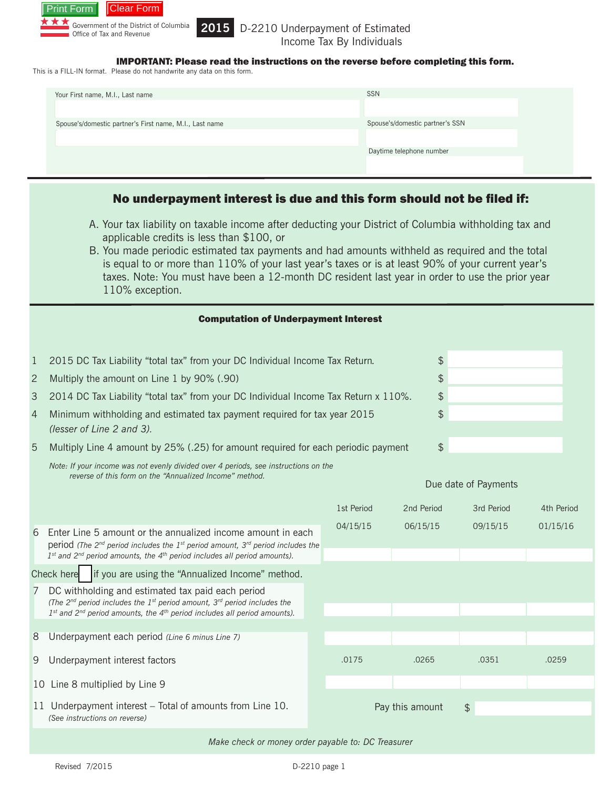

### 2015 D-2210 Underpayment of Estimated Income Tax By Individuals

IMPORTANT: Please read the instructions on the reverse before completing this form.

This is a FILL-IN format. Please do not handwrite any data on this form.

| Your First name, M.I., Last name                        | <b>SSN</b>                      |
|---------------------------------------------------------|---------------------------------|
|                                                         |                                 |
| Spouse's/domestic partner's First name, M.I., Last name | Spouse's/domestic partner's SSN |
|                                                         | Daytime telephone number        |
|                                                         |                                 |
|                                                         |                                 |

# No underpayment interest is due and this form should not be filed if:

- A. Your tax liability on taxable income after deducting your District of Columbia withholding tax and applicable credits is less than \$100, or
- B. You made periodic estimated tax payments and had amounts withheld as required and the total is equal to or more than 110% of your last year's taxes or is at least 90% of your current year's taxes. Note: You must have been a 12-month DC resident last year in order to use the prior year 110% exception.

| <b>Computation of Underpayment Interest</b>                                                    |                                                                                                                                                                                                                                                |  |            |                 |               |            |  |  |
|------------------------------------------------------------------------------------------------|------------------------------------------------------------------------------------------------------------------------------------------------------------------------------------------------------------------------------------------------|--|------------|-----------------|---------------|------------|--|--|
| $\mathbf 1$                                                                                    | 2015 DC Tax Liability "total tax" from your DC Individual Income Tax Return.                                                                                                                                                                   |  |            |                 |               |            |  |  |
| $\overline{c}$                                                                                 | \$<br>Multiply the amount on Line 1 by 90% (.90)                                                                                                                                                                                               |  |            |                 |               |            |  |  |
| \$<br>3<br>2014 DC Tax Liability "total tax" from your DC Individual Income Tax Return x 110%. |                                                                                                                                                                                                                                                |  |            |                 |               |            |  |  |
| $\overline{4}$                                                                                 | \$<br>Minimum withholding and estimated tax payment required for tax year 2015<br>(lesser of Line 2 and 3).                                                                                                                                    |  |            |                 |               |            |  |  |
| 5                                                                                              | \$<br>Multiply Line 4 amount by 25% (.25) for amount required for each periodic payment                                                                                                                                                        |  |            |                 |               |            |  |  |
|                                                                                                | Note: If your income was not evenly divided over 4 periods, see instructions on the<br>reverse of this form on the "Annualized Income" method.<br>Due date of Payments                                                                         |  |            |                 |               |            |  |  |
|                                                                                                |                                                                                                                                                                                                                                                |  | 1st Period | 2nd Period      | 3rd Period    | 4th Period |  |  |
| 6                                                                                              | Enter Line 5 amount or the annualized income amount in each<br>period (The $2^{nd}$ period includes the $1^{st}$ period amount, $3^{rd}$ period includes the<br>$1st$ and $2nd$ period amounts, the $4th$ period includes all period amounts). |  | 04/15/15   | 06/15/15        | 09/15/15      | 01/15/16   |  |  |
| if you are using the "Annualized Income" method.<br>Check here                                 |                                                                                                                                                                                                                                                |  |            |                 |               |            |  |  |
| 7                                                                                              | DC withholding and estimated tax paid each period<br>(The $2^{nd}$ period includes the 1 <sup>st</sup> period amount, $3^{rd}$ period includes the<br>$1st$ and $2nd$ period amounts, the $4th$ period includes all period amounts).           |  |            |                 |               |            |  |  |
| 8                                                                                              | Underpayment each period (Line 6 minus Line 7)                                                                                                                                                                                                 |  |            |                 |               |            |  |  |
| 9                                                                                              | Underpayment interest factors                                                                                                                                                                                                                  |  | .0175      | .0265           | .0351         | .0259      |  |  |
|                                                                                                | 10 Line 8 multiplied by Line 9                                                                                                                                                                                                                 |  |            |                 |               |            |  |  |
|                                                                                                | 11 Underpayment interest – Total of amounts from Line 10.<br>(See instructions on reverse)                                                                                                                                                     |  |            | Pay this amount | $\frac{4}{5}$ |            |  |  |

*Make check or money order payable to: DC Treasurer*